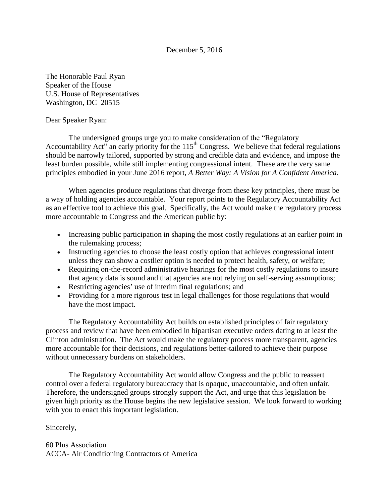## December 5, 2016

The Honorable Paul Ryan Speaker of the House U.S. House of Representatives Washington, DC 20515

## Dear Speaker Ryan:

The undersigned groups urge you to make consideration of the "Regulatory Accountability Act" an early priority for the  $115<sup>th</sup>$  Congress. We believe that federal regulations should be narrowly tailored, supported by strong and credible data and evidence, and impose the least burden possible, while still implementing congressional intent. These are the very same principles embodied in your June 2016 report, *A Better Way: A Vision for A Confident America*.

When agencies produce regulations that diverge from these key principles, there must be a way of holding agencies accountable. Your report points to the Regulatory Accountability Act as an effective tool to achieve this goal. Specifically, the Act would make the regulatory process more accountable to Congress and the American public by:

- Increasing public participation in shaping the most costly regulations at an earlier point in the rulemaking process;
- Instructing agencies to choose the least costly option that achieves congressional intent unless they can show a costlier option is needed to protect health, safety, or welfare;
- Requiring on-the-record administrative hearings for the most costly regulations to insure that agency data is sound and that agencies are not relying on self-serving assumptions;
- Restricting agencies' use of interim final regulations; and
- Providing for a more rigorous test in legal challenges for those regulations that would have the most impact.

The Regulatory Accountability Act builds on established principles of fair regulatory process and review that have been embodied in bipartisan executive orders dating to at least the Clinton administration. The Act would make the regulatory process more transparent, agencies more accountable for their decisions, and regulations better-tailored to achieve their purpose without unnecessary burdens on stakeholders.

The Regulatory Accountability Act would allow Congress and the public to reassert control over a federal regulatory bureaucracy that is opaque, unaccountable, and often unfair. Therefore, the undersigned groups strongly support the Act, and urge that this legislation be given high priority as the House begins the new legislative session. We look forward to working with you to enact this important legislation.

## Sincerely,

60 Plus Association ACCA- Air Conditioning Contractors of America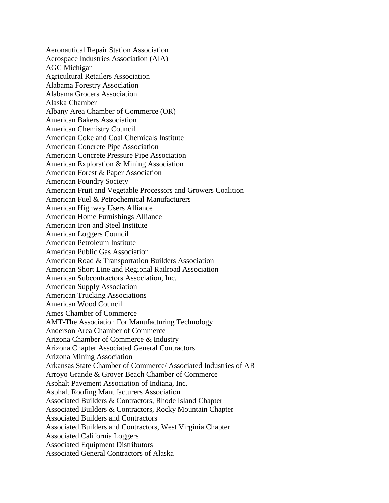Aeronautical Repair Station Association Aerospace Industries Association (AIA) AGC Michigan Agricultural Retailers Association Alabama Forestry Association Alabama Grocers Association Alaska Chamber Albany Area Chamber of Commerce (OR) American Bakers Association American Chemistry Council American Coke and Coal Chemicals Institute American Concrete Pipe Association American Concrete Pressure Pipe Association American Exploration & Mining Association American Forest & Paper Association American Foundry Society American Fruit and Vegetable Processors and Growers Coalition American Fuel & Petrochemical Manufacturers American Highway Users Alliance American Home Furnishings Alliance American Iron and Steel Institute American Loggers Council American Petroleum Institute American Public Gas Association American Road & Transportation Builders Association American Short Line and Regional Railroad Association American Subcontractors Association, Inc. American Supply Association American Trucking Associations American Wood Council Ames Chamber of Commerce AMT-The Association For Manufacturing Technology Anderson Area Chamber of Commerce Arizona Chamber of Commerce & Industry Arizona Chapter Associated General Contractors Arizona Mining Association Arkansas State Chamber of Commerce/ Associated Industries of AR Arroyo Grande & Grover Beach Chamber of Commerce Asphalt Pavement Association of Indiana, Inc. Asphalt Roofing Manufacturers Association Associated Builders & Contractors, Rhode Island Chapter Associated Builders & Contractors, Rocky Mountain Chapter Associated Builders and Contractors Associated Builders and Contractors, West Virginia Chapter Associated California Loggers Associated Equipment Distributors Associated General Contractors of Alaska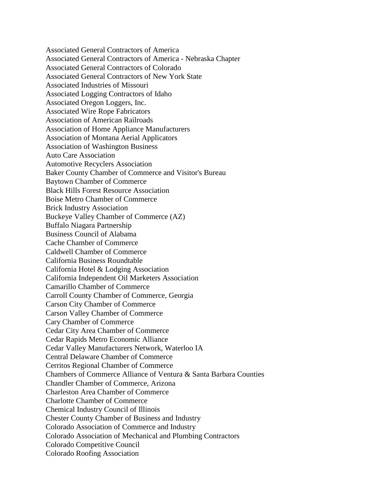Associated General Contractors of America Associated General Contractors of America - Nebraska Chapter Associated General Contractors of Colorado Associated General Contractors of New York State Associated Industries of Missouri Associated Logging Contractors of Idaho Associated Oregon Loggers, Inc. Associated Wire Rope Fabricators Association of American Railroads Association of Home Appliance Manufacturers Association of Montana Aerial Applicators Association of Washington Business Auto Care Association Automotive Recyclers Association Baker County Chamber of Commerce and Visitor's Bureau Baytown Chamber of Commerce Black Hills Forest Resource Association Boise Metro Chamber of Commerce Brick Industry Association Buckeye Valley Chamber of Commerce (AZ) Buffalo Niagara Partnership Business Council of Alabama Cache Chamber of Commerce Caldwell Chamber of Commerce California Business Roundtable California Hotel & Lodging Association California Independent Oil Marketers Association Camarillo Chamber of Commerce Carroll County Chamber of Commerce, Georgia Carson City Chamber of Commerce Carson Valley Chamber of Commerce Cary Chamber of Commerce Cedar City Area Chamber of Commerce Cedar Rapids Metro Economic Alliance Cedar Valley Manufacturers Network, Waterloo IA Central Delaware Chamber of Commerce Cerritos Regional Chamber of Commerce Chambers of Commerce Alliance of Ventura & Santa Barbara Counties Chandler Chamber of Commerce, Arizona Charleston Area Chamber of Commerce Charlotte Chamber of Commerce Chemical Industry Council of Illinois Chester County Chamber of Business and Industry Colorado Association of Commerce and Industry Colorado Association of Mechanical and Plumbing Contractors Colorado Competitive Council Colorado Roofing Association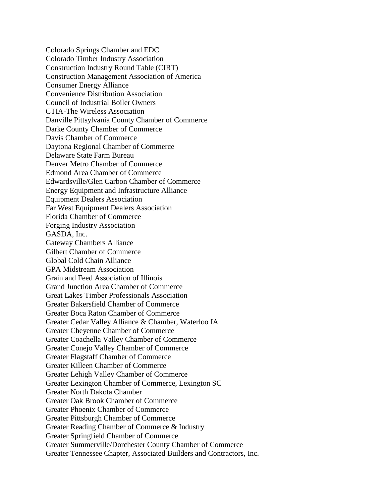Colorado Springs Chamber and EDC Colorado Timber Industry Association Construction Industry Round Table (CIRT) Construction Management Association of America Consumer Energy Alliance Convenience Distribution Association Council of Industrial Boiler Owners CTIA-The Wireless Association Danville Pittsylvania County Chamber of Commerce Darke County Chamber of Commerce Davis Chamber of Commerce Daytona Regional Chamber of Commerce Delaware State Farm Bureau Denver Metro Chamber of Commerce Edmond Area Chamber of Commerce Edwardsville/Glen Carbon Chamber of Commerce Energy Equipment and Infrastructure Alliance Equipment Dealers Association Far West Equipment Dealers Association Florida Chamber of Commerce Forging Industry Association GASDA, Inc. Gateway Chambers Alliance Gilbert Chamber of Commerce Global Cold Chain Alliance GPA Midstream Association Grain and Feed Association of Illinois Grand Junction Area Chamber of Commerce Great Lakes Timber Professionals Association Greater Bakersfield Chamber of Commerce Greater Boca Raton Chamber of Commerce Greater Cedar Valley Alliance & Chamber, Waterloo IA Greater Cheyenne Chamber of Commerce Greater Coachella Valley Chamber of Commerce Greater Conejo Valley Chamber of Commerce Greater Flagstaff Chamber of Commerce Greater Killeen Chamber of Commerce Greater Lehigh Valley Chamber of Commerce Greater Lexington Chamber of Commerce, Lexington SC Greater North Dakota Chamber Greater Oak Brook Chamber of Commerce Greater Phoenix Chamber of Commerce Greater Pittsburgh Chamber of Commerce Greater Reading Chamber of Commerce & Industry Greater Springfield Chamber of Commerce Greater Summerville/Dorchester County Chamber of Commerce Greater Tennessee Chapter, Associated Builders and Contractors, Inc.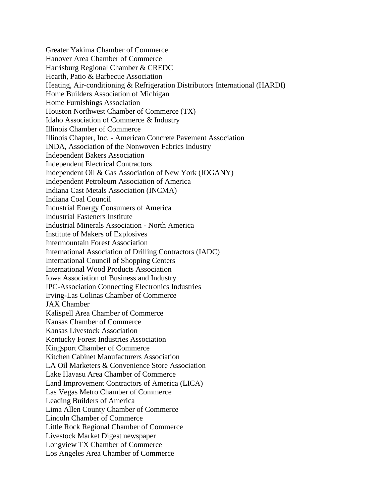Greater Yakima Chamber of Commerce Hanover Area Chamber of Commerce Harrisburg Regional Chamber & CREDC Hearth, Patio & Barbecue Association Heating, Air-conditioning & Refrigeration Distributors International (HARDI) Home Builders Association of Michigan Home Furnishings Association Houston Northwest Chamber of Commerce (TX) Idaho Association of Commerce & Industry Illinois Chamber of Commerce Illinois Chapter, Inc. - American Concrete Pavement Association INDA, Association of the Nonwoven Fabrics Industry Independent Bakers Association Independent Electrical Contractors Independent Oil & Gas Association of New York (IOGANY) Independent Petroleum Association of America Indiana Cast Metals Association (INCMA) Indiana Coal Council Industrial Energy Consumers of America Industrial Fasteners Institute Industrial Minerals Association - North America Institute of Makers of Explosives Intermountain Forest Association International Association of Drilling Contractors (IADC) International Council of Shopping Centers International Wood Products Association Iowa Association of Business and Industry IPC-Association Connecting Electronics Industries Irving-Las Colinas Chamber of Commerce JAX Chamber Kalispell Area Chamber of Commerce Kansas Chamber of Commerce Kansas Livestock Association Kentucky Forest Industries Association Kingsport Chamber of Commerce Kitchen Cabinet Manufacturers Association LA Oil Marketers & Convenience Store Association Lake Havasu Area Chamber of Commerce Land Improvement Contractors of America (LICA) Las Vegas Metro Chamber of Commerce Leading Builders of America Lima Allen County Chamber of Commerce Lincoln Chamber of Commerce Little Rock Regional Chamber of Commerce Livestock Market Digest newspaper Longview TX Chamber of Commerce Los Angeles Area Chamber of Commerce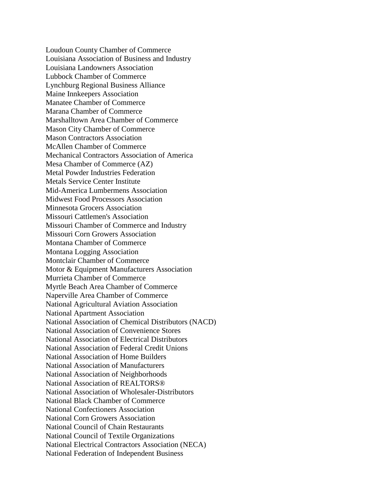Loudoun County Chamber of Commerce Louisiana Association of Business and Industry Louisiana Landowners Association Lubbock Chamber of Commerce Lynchburg Regional Business Alliance Maine Innkeepers Association Manatee Chamber of Commerce Marana Chamber of Commerce Marshalltown Area Chamber of Commerce Mason City Chamber of Commerce Mason Contractors Association McAllen Chamber of Commerce Mechanical Contractors Association of America Mesa Chamber of Commerce (AZ) Metal Powder Industries Federation Metals Service Center Institute Mid-America Lumbermens Association Midwest Food Processors Association Minnesota Grocers Association Missouri Cattlemen's Association Missouri Chamber of Commerce and Industry Missouri Corn Growers Association Montana Chamber of Commerce Montana Logging Association Montclair Chamber of Commerce Motor & Equipment Manufacturers Association Murrieta Chamber of Commerce Myrtle Beach Area Chamber of Commerce Naperville Area Chamber of Commerce National Agricultural Aviation Association National Apartment Association National Association of Chemical Distributors (NACD) National Association of Convenience Stores National Association of Electrical Distributors National Association of Federal Credit Unions National Association of Home Builders National Association of Manufacturers National Association of Neighborhoods National Association of REALTORS® National Association of Wholesaler-Distributors National Black Chamber of Commerce National Confectioners Association National Corn Growers Association National Council of Chain Restaurants National Council of Textile Organizations National Electrical Contractors Association (NECA) National Federation of Independent Business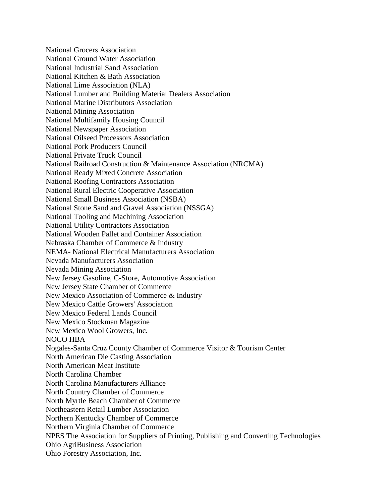National Grocers Association National Ground Water Association National Industrial Sand Association National Kitchen & Bath Association National Lime Association (NLA) National Lumber and Building Material Dealers Association National Marine Distributors Association National Mining Association National Multifamily Housing Council National Newspaper Association National Oilseed Processors Association National Pork Producers Council National Private Truck Council National Railroad Construction & Maintenance Association (NRCMA) National Ready Mixed Concrete Association National Roofing Contractors Association National Rural Electric Cooperative Association National Small Business Association (NSBA) National Stone Sand and Gravel Association (NSSGA) National Tooling and Machining Association National Utility Contractors Association National Wooden Pallet and Container Association Nebraska Chamber of Commerce & Industry NEMA- National Electrical Manufacturers Association Nevada Manufacturers Association Nevada Mining Association New Jersey Gasoline, C-Store, Automotive Association New Jersey State Chamber of Commerce New Mexico Association of Commerce & Industry New Mexico Cattle Growers' Association New Mexico Federal Lands Council New Mexico Stockman Magazine New Mexico Wool Growers, Inc. NOCO HBA Nogales-Santa Cruz County Chamber of Commerce Visitor & Tourism Center North American Die Casting Association North American Meat Institute North Carolina Chamber North Carolina Manufacturers Alliance North Country Chamber of Commerce North Myrtle Beach Chamber of Commerce Northeastern Retail Lumber Association Northern Kentucky Chamber of Commerce Northern Virginia Chamber of Commerce NPES The Association for Suppliers of Printing, Publishing and Converting Technologies Ohio AgriBusiness Association Ohio Forestry Association, Inc.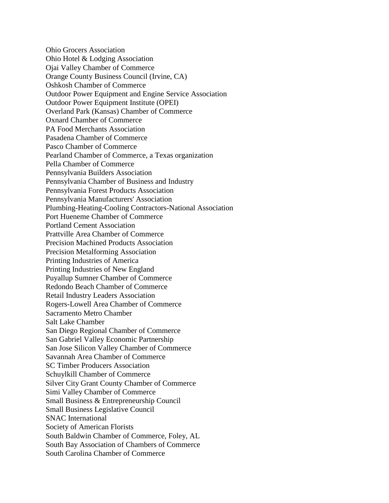Ohio Grocers Association Ohio Hotel & Lodging Association Ojai Valley Chamber of Commerce Orange County Business Council (Irvine, CA) Oshkosh Chamber of Commerce Outdoor Power Equipment and Engine Service Association Outdoor Power Equipment Institute (OPEI) Overland Park (Kansas) Chamber of Commerce Oxnard Chamber of Commerce PA Food Merchants Association Pasadena Chamber of Commerce Pasco Chamber of Commerce Pearland Chamber of Commerce, a Texas organization Pella Chamber of Commerce Pennsylvania Builders Association Pennsylvania Chamber of Business and Industry Pennsylvania Forest Products Association Pennsylvania Manufacturers' Association Plumbing-Heating-Cooling Contractors-National Association Port Hueneme Chamber of Commerce Portland Cement Association Prattville Area Chamber of Commerce Precision Machined Products Association Precision Metalforming Association Printing Industries of America Printing Industries of New England Puyallup Sumner Chamber of Commerce Redondo Beach Chamber of Commerce Retail Industry Leaders Association Rogers-Lowell Area Chamber of Commerce Sacramento Metro Chamber Salt Lake Chamber San Diego Regional Chamber of Commerce San Gabriel Valley Economic Partnership San Jose Silicon Valley Chamber of Commerce Savannah Area Chamber of Commerce SC Timber Producers Association Schuylkill Chamber of Commerce Silver City Grant County Chamber of Commerce Simi Valley Chamber of Commerce Small Business & Entrepreneurship Council Small Business Legislative Council SNAC International Society of American Florists South Baldwin Chamber of Commerce, Foley, AL South Bay Association of Chambers of Commerce South Carolina Chamber of Commerce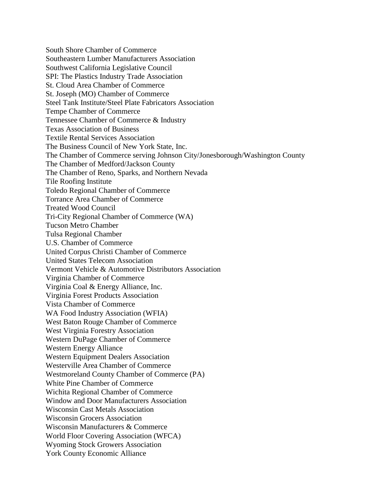South Shore Chamber of Commerce Southeastern Lumber Manufacturers Association Southwest California Legislative Council SPI: The Plastics Industry Trade Association St. Cloud Area Chamber of Commerce St. Joseph (MO) Chamber of Commerce Steel Tank Institute/Steel Plate Fabricators Association Tempe Chamber of Commerce Tennessee Chamber of Commerce & Industry Texas Association of Business Textile Rental Services Association The Business Council of New York State, Inc. The Chamber of Commerce serving Johnson City/Jonesborough/Washington County The Chamber of Medford/Jackson County The Chamber of Reno, Sparks, and Northern Nevada Tile Roofing Institute Toledo Regional Chamber of Commerce Torrance Area Chamber of Commerce Treated Wood Council Tri-City Regional Chamber of Commerce (WA) Tucson Metro Chamber Tulsa Regional Chamber U.S. Chamber of Commerce United Corpus Christi Chamber of Commerce United States Telecom Association Vermont Vehicle & Automotive Distributors Association Virginia Chamber of Commerce Virginia Coal & Energy Alliance, Inc. Virginia Forest Products Association Vista Chamber of Commerce WA Food Industry Association (WFIA) West Baton Rouge Chamber of Commerce West Virginia Forestry Association Western DuPage Chamber of Commerce Western Energy Alliance Western Equipment Dealers Association Westerville Area Chamber of Commerce Westmoreland County Chamber of Commerce (PA) White Pine Chamber of Commerce Wichita Regional Chamber of Commerce Window and Door Manufacturers Association Wisconsin Cast Metals Association Wisconsin Grocers Association Wisconsin Manufacturers & Commerce World Floor Covering Association (WFCA) Wyoming Stock Growers Association York County Economic Alliance